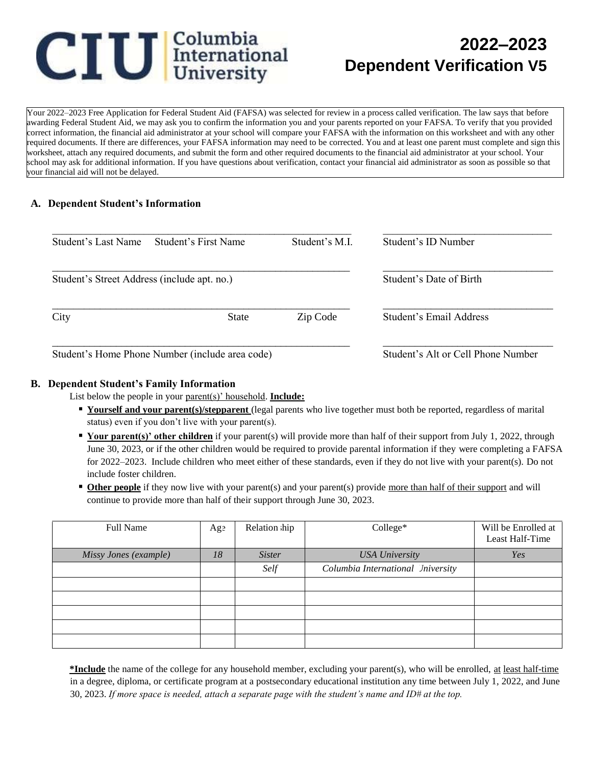# **CIU** International

## **2022–2023 Dependent Verification V5**

Your 2022–2023 Free Application for Federal Student Aid (FAFSA) was selected for review in a process called verification. The law says that before awarding Federal Student Aid, we may ask you to confirm the information you and your parents reported on your FAFSA. To verify that you provided correct information, the financial aid administrator at your school will compare your FAFSA with the information on this worksheet and with any other required documents. If there are differences, your FAFSA information may need to be corrected. You and at least one parent must complete and sign this worksheet, attach any required documents, and submit the form and other required documents to the financial aid administrator at your school. Your school may ask for additional information. If you have questions about verification, contact your financial aid administrator as soon as possible so that your financial aid will not be delayed.

#### **A. Dependent Student's Information**

| Student's Last Name                         | Student's First Name | Student's M.I.          | Student's ID Number     |
|---------------------------------------------|----------------------|-------------------------|-------------------------|
| Student's Street Address (include apt. no.) |                      | Student's Date of Birth |                         |
| City                                        | <b>State</b>         | Zip Code                | Student's Email Address |
|                                             |                      |                         |                         |

#### **B. Dependent Student's Family Information**

List below the people in your parent(s)' household. **Include:**

- **If Yourself and your parent(s)/stepparent** (legal parents who live together must both be reported, regardless of marital status) even if you don't live with your parent(s).
- **Your parent(s)' other children** if your parent(s) will provide more than half of their support from July 1, 2022, through June 30, 2023, or if the other children would be required to provide parental information if they were completing a FAFSA for 2022–2023. Include children who meet either of these standards, even if they do not live with your parent(s). Do not include foster children.
- **Other people** if they now live with your parent(s) and your parent(s) provide more than half of their support and will continue to provide more than half of their support through June 30, 2023.

| <b>Full Name</b>      | Age | Relation hip  | College*                          | Will be Enrolled at<br>Least Half-Time |
|-----------------------|-----|---------------|-----------------------------------|----------------------------------------|
| Missy Jones (example) | 18  | <i>Sister</i> | <b>USA University</b>             | Yes                                    |
|                       |     | Self          | Columbia International Iniversity |                                        |
|                       |     |               |                                   |                                        |
|                       |     |               |                                   |                                        |
|                       |     |               |                                   |                                        |
|                       |     |               |                                   |                                        |
|                       |     |               |                                   |                                        |

**\*Include** the name of the college for any household member, excluding your parent(s), who will be enrolled, at least half-time in a degree, diploma, or certificate program at a postsecondary educational institution any time between July 1, 2022, and June 30, 2023. *If more space is needed, attach a separate page with the student's name and ID# at the top.*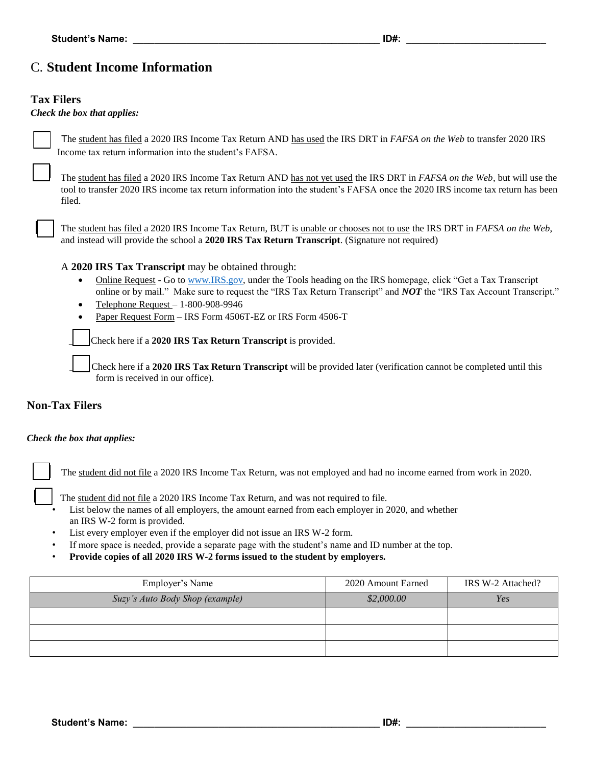## C. **Student Income Information**

#### **Tax Filers**

#### *Check the box that applies:*



The student has filed a 2020 IRS Income Tax Return AND has used the IRS DRT in *FAFSA on the Web* to transfer 2020 IRS Income tax return information into the student's FAFSA*.* 

The student has filed a 2020 IRS Income Tax Return AND has not yet used the IRS DRT in *FAFSA on the Web*, but will use the tool to transfer 2020 IRS income tax return information into the student's FAFSA once the 2020 IRS income tax return has been filed.

The student has filed a 2020 IRS Income Tax Return, BUT is unable or chooses not to use the IRS DRT in *FAFSA on the Web*, and instead will provide the school a **2020 IRS Tax Return Transcript**. (Signature not required)

#### A **2020 IRS Tax Transcript** may be obtained through:

- Online Request Go to [www.IRS.gov,](http://www.irs.gov/) under the Tools heading on the IRS homepage, click "Get a Tax Transcript online or by mail." Make sure to request the "IRS Tax Return Transcript" and *NOT* the "IRS Tax Account Transcript."
- Telephone Request  $-1-800-908-9946$
- Paper Request Form IRS Form 4506T-EZ or IRS Form 4506-T

*\_\_\_\_* Check here if a **2020 IRS Tax Return Transcript** is provided.

\_\_\_\_ Check here if a **2020 IRS Tax Return Transcript** will be provided later (verification cannot be completed until this form is received in our office).

#### **Non-Tax Filers**

#### *Check the box that applies:*



The student did not file a 2020 IRS Income Tax Return, was not employed and had no income earned from work in 2020.

The student did not file a 2020 IRS Income Tax Return, and was not required to file.

List below the names of all employers, the amount earned from each employer in 2020, and whether an IRS W-2 form is provided.

- List every employer even if the employer did not issue an IRS W-2 form.
- If more space is needed, provide a separate page with the student's name and ID number at the top.
- **Provide copies of all 2020 IRS W-2 forms issued to the student by employers.**

| Employer's Name                 | 2020 Amount Earned | IRS W-2 Attached? |
|---------------------------------|--------------------|-------------------|
| Suzy's Auto Body Shop (example) | \$2,000.00         | Yes               |
|                                 |                    |                   |
|                                 |                    |                   |
|                                 |                    |                   |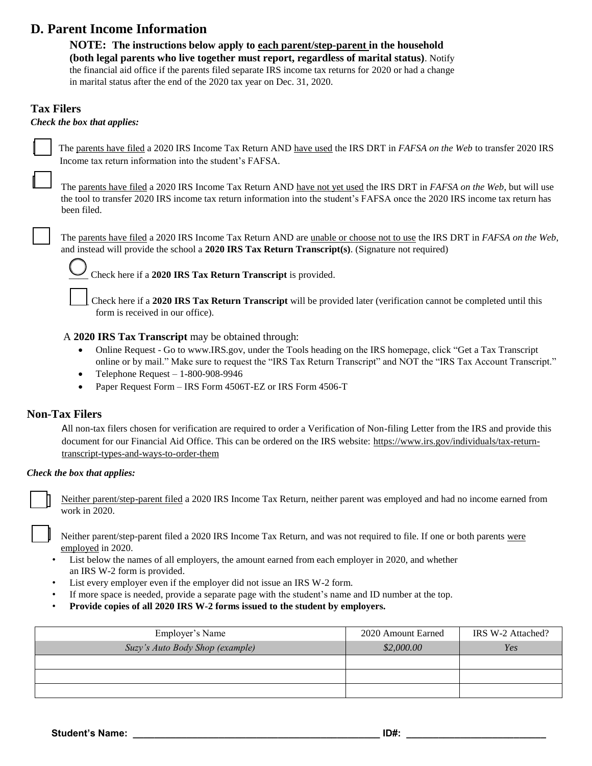## **D. Parent Income Information**

**NOTE: The instructions below apply to each parent/step-parent in the household (both legal parents who live together must report, regardless of marital status)**. Notify the financial aid office if the parents filed separate IRS income tax returns for 2020 or had a change in marital status after the end of the 2020 tax year on Dec. 31, 2020.

#### **Tax Filers**

#### *Check the box that applies:*

The parents have filed a 2020 IRS Income Tax Return AND have used the IRS DRT in *FAFSA on the Web* to transfer 2020 IRS Income tax return information into the student's FAFSA*.*

The parents have filed a 2020 IRS Income Tax Return AND have not yet used the IRS DRT in *FAFSA on the Web*, but will use the tool to transfer 2020 IRS income tax return information into the student's FAFSA once the 2020 IRS income tax return has been filed.

The parents have filed a 2020 IRS Income Tax Return AND are unable or choose not to use the IRS DRT in *FAFSA on the Web*, and instead will provide the school a **2020 IRS Tax Return Transcript(s)**. (Signature not required)

*\_\_\_\_* Check here if a **2020 IRS Tax Return Transcript** is provided.

\_\_\_\_ Check here if a **2020 IRS Tax Return Transcript** will be provided later (verification cannot be completed until this form is received in our office).

#### A **2020 IRS Tax Transcript** may be obtained through:

- Online Request Go to [www.IRS.gov,](http://www.irs.gov/) under the Tools heading on the IRS homepage, click "Get a Tax Transcript" online or by mail." Make sure to request the "IRS Tax Return Transcript" and NOT the "IRS Tax Account Transcript."
- Telephone Request  $-1-800-908-9946$
- Paper Request Form IRS Form 4506T-EZ or IRS Form 4506-T

#### **Non-Tax Filers**

All non-tax filers chosen for verification are required to order a Verification of Non-filing Letter from the IRS and provide this document for our Financial Aid Office. This can be ordered on the IRS website: [https://www.irs.gov/individuals/tax-return](https://www.irs.gov/individuals/tax-return-transcript-types-and-ways-to-order-them)[transcript-types-and-ways-to-order-them](https://www.irs.gov/individuals/tax-return-transcript-types-and-ways-to-order-them)

#### *Check the box that applies:*

Neither parent/step-parent filed a 2020 IRS Income Tax Return, neither parent was employed and had no income earned from work in 2020.

Neither parent/step-parent filed a 2020 IRS Income Tax Return, and was not required to file. If one or both parents were employed in 2020.

- List below the names of all employers, the amount earned from each employer in 2020, and whether an IRS W-2 form is provided.
- List every employer even if the employer did not issue an IRS W-2 form.
- If more space is needed, provide a separate page with the student's name and ID number at the top.
- **Provide copies of all 2020 IRS W-2 forms issued to the student by employers.**

| Employer's Name                 | 2020 Amount Earned | IRS W-2 Attached? |
|---------------------------------|--------------------|-------------------|
| Suzy's Auto Body Shop (example) | \$2,000.00         | Yes               |
|                                 |                    |                   |
|                                 |                    |                   |
|                                 |                    |                   |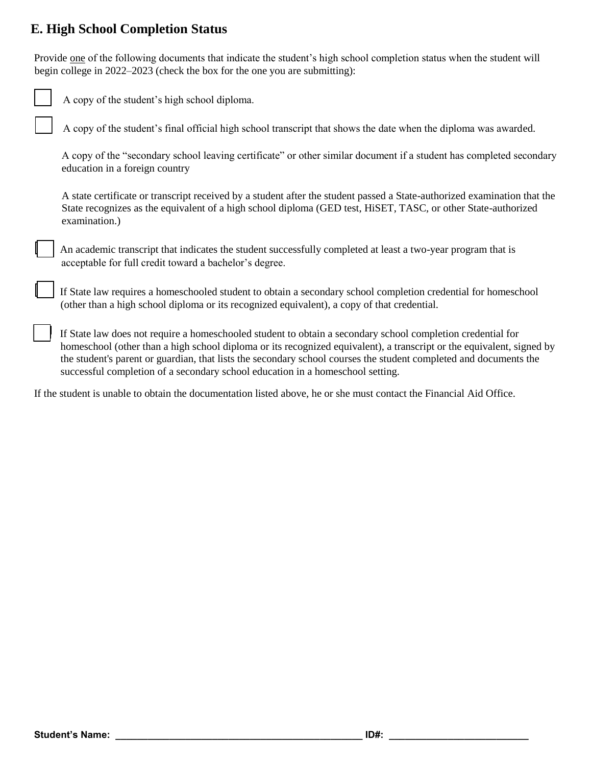## **E. High School Completion Status**

Provide one of the following documents that indicate the student's high school completion status when the student will begin college in 2022–2023 (check the box for the one you are submitting):

| A copy of the student's high school diploma.                                                                                                                                                                                                                                                                                                              |
|-----------------------------------------------------------------------------------------------------------------------------------------------------------------------------------------------------------------------------------------------------------------------------------------------------------------------------------------------------------|
| A copy of the student's final official high school transcript that shows the date when the diploma was awarded.                                                                                                                                                                                                                                           |
| A copy of the "secondary school leaving certificate" or other similar document if a student has completed secondary<br>education in a foreign country                                                                                                                                                                                                     |
| A state certificate or transcript received by a student after the student passed a State-authorized examination that the<br>State recognizes as the equivalent of a high school diploma (GED test, HiSET, TASC, or other State-authorized<br>examination.)                                                                                                |
| An academic transcript that indicates the student successfully completed at least a two-year program that is<br>acceptable for full credit toward a bachelor's degree.                                                                                                                                                                                    |
| If State law requires a homeschooled student to obtain a secondary school completion credential for homeschool<br>(other than a high school diploma or its recognized equivalent), a copy of that credential.                                                                                                                                             |
| If State law does not require a homeschooled student to obtain a secondary school completion credential for<br>homeschool (other than a high school diploma or its recognized equivalent), a transcript or the equivalent, signed by<br>the student's parent or guardian, that lists the secondary school courses the student completed and documents the |

If the student is unable to obtain the documentation listed above, he or she must contact the Financial Aid Office.

successful completion of a secondary school education in a homeschool setting.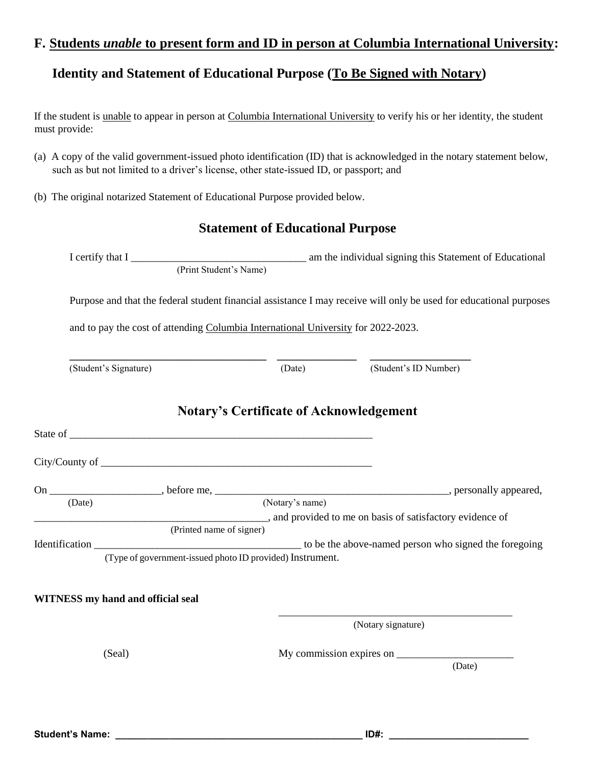## **F. Students** *unable* **to present form and ID in person at Columbia International University:**

## **Identity and Statement of Educational Purpose (To Be Signed with Notary)**

If the student is unable to appear in person at Columbia International University to verify his or her identity, the student must provide:

- (a) A copy of the valid government-issued photo identification (ID) that is acknowledged in the notary statement below, such as but not limited to a driver's license, other state-issued ID, or passport; and
- (b) The original notarized Statement of Educational Purpose provided below.

## **Statement of Educational Purpose**

|        |                                                                                     |                                                | I certify that I (Print Student's Name) am the individual signing this Statement of Educational                    |
|--------|-------------------------------------------------------------------------------------|------------------------------------------------|--------------------------------------------------------------------------------------------------------------------|
|        |                                                                                     |                                                | Purpose and that the federal student financial assistance I may receive will only be used for educational purposes |
|        | and to pay the cost of attending Columbia International University for 2022-2023.   |                                                |                                                                                                                    |
|        | (Student's Signature)                                                               |                                                | (Date) (Student's ID Number)                                                                                       |
|        |                                                                                     | <b>Notary's Certificate of Acknowledgement</b> |                                                                                                                    |
|        |                                                                                     |                                                |                                                                                                                    |
|        |                                                                                     |                                                |                                                                                                                    |
|        |                                                                                     |                                                |                                                                                                                    |
| (Date) |                                                                                     | (Notary's name)                                |                                                                                                                    |
|        | and provided to me on basis of satisfactory evidence of<br>(Printed name of signer) |                                                |                                                                                                                    |
|        |                                                                                     |                                                |                                                                                                                    |
|        | (Type of government-issued photo ID provided) Instrument.                           |                                                |                                                                                                                    |
|        | <b>WITNESS</b> my hand and official seal                                            |                                                |                                                                                                                    |
|        |                                                                                     |                                                | (Notary signature)                                                                                                 |
| (Seal) |                                                                                     |                                                |                                                                                                                    |
|        |                                                                                     |                                                | (Date)                                                                                                             |
|        |                                                                                     |                                                |                                                                                                                    |